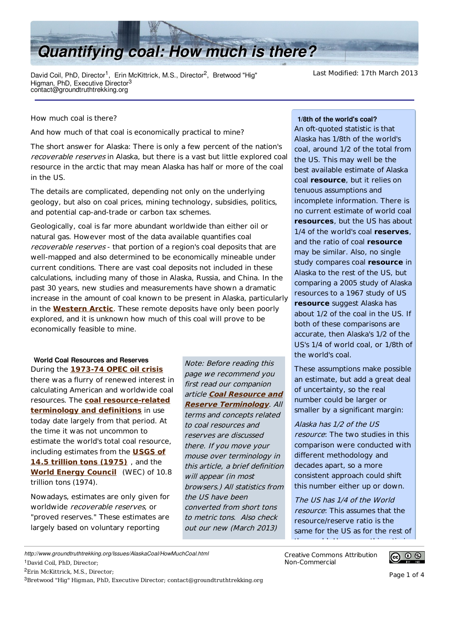

David Coil, PhD, Director<sup>1</sup>, Erin McKittrick, M.S., Director<sup>2</sup> Higman, PhD, Executive Director<sup>3</sup> contact@groundtruthtrekking.org

Last Modified: 17th March 2013

How much coal is there?

And how much of that coal is economically practical to mine?

The short answer for Alaska: There is only a few percent of the nation's recoverable reserves in Alaska, but there is a vast but little explored coal resource in the arctic that may mean Alaska has half or more of the coal in the US.

The details are complicated, depending not only on the underlying geology, but also on coal prices, mining technology, subsidies, politics, and potential cap-and-trade or carbon tax schemes.

Geologically, coal is far more abundant worldwide than either oil or natural gas. However most of the data available quantifies coal recoverable reserves - that portion of a region's coal deposits that are well-mapped and also determined to be economically mineable under current conditions. There are vast coal deposits not included in these calculations, including many of those in Alaska, Russia, and China. In the past 30 years, new studies and measurements have shown a dramatic increase in the amount of coal known to be present in Alaska, particularly in the **Western Arctic**. These remote deposits have only been poorly explored, and it is unknown how much of this coal will prove to be economically feasible to mine.

**World Coal Resources and Reserves**

During the 1973-74 OPEC oil crisis there was a flurry of renewed interest in calculating American and worldwide coal resources. The **coal resource-related terminology and definitions** in use today date largely from that period. At the time it was not uncommon to estimate the world's total coal resource, including estimates from the **USGS of 14.5 trillion tons (1975)**, and the **World Energy Council** (WEC) of 10.8 trillion tons (1974).

Nowadays, estimates are only given for worldwide recoverable reserves, or "proved reserves." These estimates are largely based on voluntary reporting

Note: Before reading this page we recommend you first read our companion article **Coal Resource and Reserve Terminology**. All terms and concepts related to coal resources and reserves are discussed there. If you move your mouse over terminology in this article, a brief definition will appear (in most browsers.) All statistics from the US have been converted from short tons to metric tons. Also check out our new (March 2013)

## **1/8th of the world's coal?**

An oft-quoted statistic is that Alaska has 1/8th of the world's coal, around 1/2 of the total from the US. This may well be the best available estimate of Alaska coal **resource**, but it relies on tenuous assumptions and incomplete information. There is no current estimate of world coal **resources**, but the US has about 1/4 of the world's coal **reserves**. and the ratio of coal **resource** may be similar. Also, no single study compares coal **resource** in Alaska to the rest of the US, but comparing a 2005 study of Alaska resources to a 1967 study of US **resource** suggest Alaska has about 1/2 of the coal in the US. If both of these comparisons are accurate, then Alaska's 1/2 of the US's 1/4 of world coal, or 1/8th of the world's coal.

These assumptions make possible an estimate, but add a great deal of uncertainty, so the real number could be larger or smaller by a significant margin:

Alaska has 1/2 of the US resource: The two studies in this comparison were conducted with different methodology and decades apart, so a more consistent approach could shift this number either up or down.

The US has 1/4 of the World resource: This assumes that the resource/reserve ratio is the same for the US as for the rest of the contribution of the contribution of the contribution of the contribution of the contribution of the contribution of the contribution of the contribution of the contribution of the contribution of the contribution of th

Creative Commons Attribution

Non-Commercial

*http://www.groundtruthtrekking.org/Issues/AlaskaCoal/HowMuchCoal.html*

<sup>2</sup>Erin McKittrick, M.S., Director;

 $3B$ retwood "Hig" Higman, PhD, Executive Director; contact@groundtruthtrekking.org

<sup>&</sup>lt;sup>1</sup>David Coil, PhD, Director;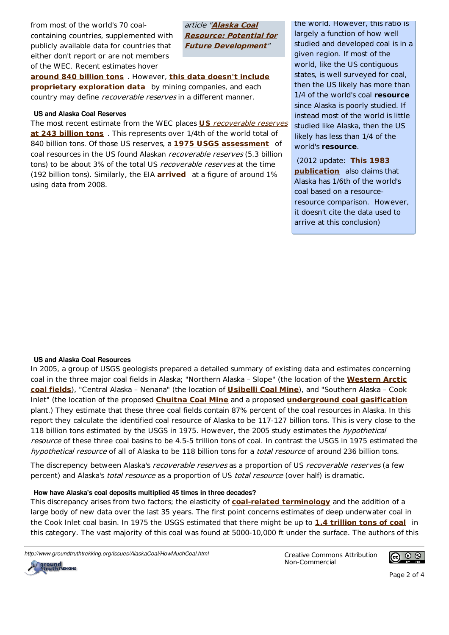from most of the world's 70 coalcontaining countries, supplemented with publicly available data for countries that either don't report or are not members of the WEC. Recent estimates hover

article "**Alaska Coal Resource: Potential for Future Development**"

around 840 billion tons . However, this data doesn't include **proprietary exploration data** by mining companies, and each country may define *recoverable reserves* in a different manner.

#### **US and Alaska Coal Reserves**

The most recent estimate from the WEC places **US** recoverable reserves **at 243 billion tons** . This represents over 1/4th of the world total of 840 billion tons. Of those US reserves, a **1975 USGS assessment** of coal resources in the US found Alaskan *recoverable reserves* (5.3 billion tons) to be about 3% of the total US recoverable reserves at the time (192 billion tons). Similarly, the EIA **arrived** at a figure of around 1% using data from 2008.

the world. However, this ratio is largely a function of how well studied and developed coal is in a given region. If most of the world, like the US contiguous states, is well surveyed for coal, then the US likely has more than 1/4 of the world's coal **resource** since Alaska is poorly studied. If instead most of the world is little studied like Alaska, then the US likely has less than 1/4 of the world's **resource**.

 (2012 update: **This 1983 publication** also claims that Alaska has 1/6th of the world's coal based on a resourceresource comparison. However, it doesn't cite the data used to arrive at this conclusion)

# **US and Alaska Coal Resources**

In 2005, a group of USGS geologists prepared a detailed summary of existing data and estimates concerning coal in the three major coal fields in Alaska; "Northern Alaska - Slope" (the location of the **Western Arctic** coal fields), "Central Alaska - Nenana" (the location of **Usibelli Coal Mine**), and "Southern Alaska - Cook Inlet" (the location of the proposed **Chuitna Coal Mine** and a proposed **underground coal gasification** plant.) They estimate that these three coal fields contain 87% percent of the coal resources in Alaska. In this report they calculate the identified coal resource of Alaska to be 117-127 billion tons. This is very close to the 118 billion tons estimated by the USGS in 1975. However, the 2005 study estimates the *hypothetical* resource of these three coal basins to be 4.5-5 trillion tons of coal. In contrast the USGS in 1975 estimated the hypothetical resource of all of Alaska to be 118 billion tons for a total resource of around 236 billion tons.

The discrepency between Alaska's recoverable reserves as a proportion of US recoverable reserves (a few percent) and Alaska's *total resource* as a proportion of US total resource (over half) is dramatic.

#### How have Alaska's coal deposits multiplied 45 times in three decades?

This discrepancy arises from two factors; the elasticity of **coal-related terminology** and the addition of a large body of new data over the last 35 years. The first point concerns estimates of deep underwater coal in the Cook Inlet coal basin. In 1975 the USGS estimated that there might be up to 1.4 trillion tons of coal in this category. The vast majority of this coal was found at 5000-10,000 ft under the surface. The authors of this

http://www.groundtruthtrekking.org/Issues/AlaskaCoal/HowMuchCoal.html **Creative Commons Attribution** 

Non-Commercial



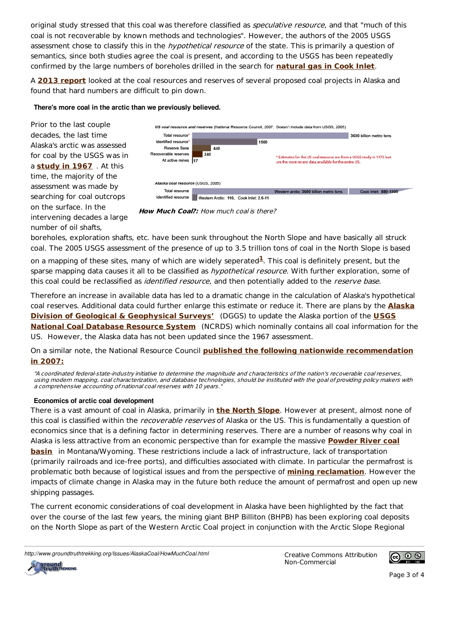original study stressed that this coal was therefore classified as *speculative resource*, and that "much of this coal is not recoverable by known methods and technologies". However, the authors of the 2005 USGS assessment chose to classify this in the *hypothetical resource* of the state. This is primarily a question of semantics, since both studies agree the coal is present, and according to the USGS has been repeatedly confirmed by the large numbers of boreholes drilled in the search for **natural gas in Cook Inlet**.

A **2013 report** looked at the coal resources and reserves of several proposed coal projects in Alaska and found that hard numbers are difficult to pin down.

# There's more coal in the arctic than we previously believed.



boreholes, exploration shafts, etc. have been sunk throughout the North Slope and have basically all struck coal. The 2005 USGS assessment of the presence of up to 3.5 trillion tons of coal in the North Slope is based

on a mapping of these sites, many of which are widely seperated<sup>1</sup>. This coal is definitely present, but the sparse mapping data causes it all to be classified as hypothetical resource. With further exploration, some of this coal could be reclassified as *identified resource*, and then potentially added to the *reserve base*.

Therefore an increase in available data has led to a dramatic change in the calculation of Alaska's hypothetical coal reserves. Additional data could further enlarge this estimate or reduce it. There are plans by the **Alaska Division of Geological & Geophysical Surveys'** (DGGS) to update the Alaska portion of the **USGS National Coal Database Resource System** (NCRDS) which nominally contains all coal information for the US. However, the Alaska data has not been updated since the 1967 assessment.

On a similar note, the National Resource Council **published the following nationwide recommendation in 2007:**

"A coordinated federal-state-industry initiative to determine the magnitude and characteristics of the nation's recoverable coal reserves, using modern mapping, coal characterization, and database technologies, should be instituted with the goal of providing policy makers with a comprehensive accounting of national coal reserves with 10 years."

# **Economics of arctic coal development**

There is a vast amount of coal in Alaska, primarily in **the North Slope**. However at present, almost none of this coal is classified within the recoverable reserves of Alaska or the US. This is fundamentally a question of economics since that is a defining factor in determining reserves. There are a number of reasons why coal in Alaska is less attractive from an economic perspective than for example the massive **Powder River coal basin** in Montana/Wyoming. These restrictions include a lack of infrastructure, lack of transportation (primarily railroads and ice-free ports), and difficulties associated with climate. In particular the permafrost is problematic both because of logistical issues and from the perspective of **mining reclamation**. However the impacts of climate change in Alaska may in the future both reduce the amount of permafrost and open up new shipping passages.

The current economic considerations of coal development in Alaska have been highlighted by the fact that over the course of the last few years, the mining giant BHP Billiton (BHPB) has been exploring coal deposits on the North Slope as part of the Western Arctic Coal project in conjunction with the Arctic Slope Regional

http://www.groundtruthtrekking.org/Issues/AlaskaCoal/HowMuchCoal.html **Creative Commons Attribution** 

Non-Commercial





Page 3 of 4